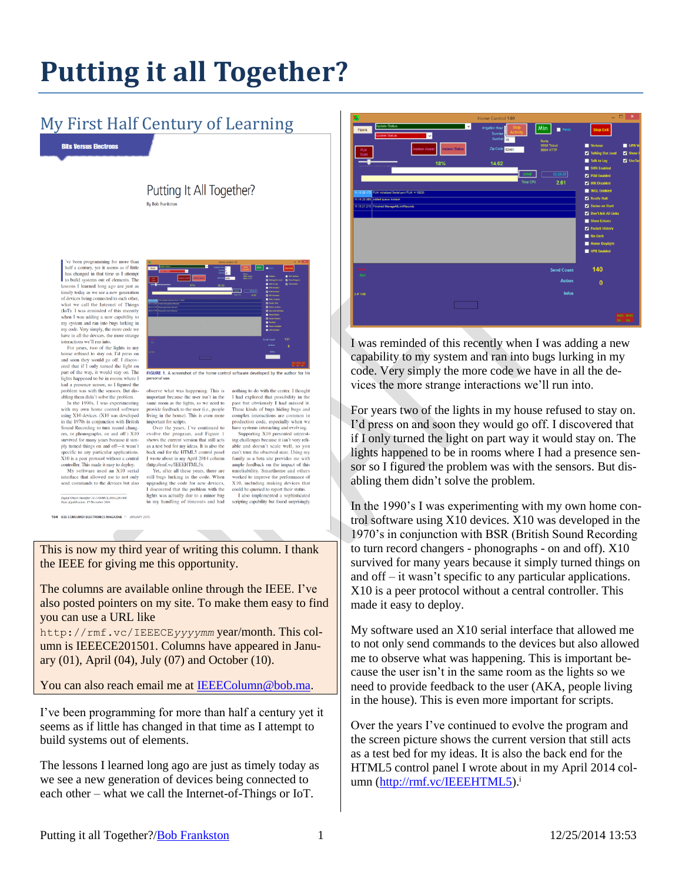# **Putting it all Together?**

### My First Half Century of Learning

**Bits Versus Electrons** 

Putting It All Together? By Bob Frankston

ve been programming for more than<br>half a century, yet it seems as if little<br>has changed in that time as I attempt<br>to build systems out of elements. The<br>lessons I learned long ago are just as timely today as we see a new generation of devices being connected to each other what we call the Internet of Things what we call the Internet of Things<br>(67). I was reminded of this recently<br>when I was adding a new captability to<br>my system and ran into bugs lurking in imposes<br>my system and ran into bugs lurking in<br>my code. Very simply, t

and soon they would go off. I discovered that if I only turned the light on part of the way, it would stay on. The<br>lights happened to be in rooms where I ngnts nappened to be in rooms where 1<br>had a presence sensor, so I figured the<br>problem was with the sensors. But dis-<br>abling them didn't solve the problem.<br>In the 1990s, I was experimenting

with my own home control software using X10 devices. (X10 was developed in the 1970s in conjunction with British Sound Recording to turn record chang Sound Recording to turn record changes<br>are exact of the Section Capacity survived for many years because it simply unverd this<br>grown and off-it was also perfect to any particular applications. X10<br>s aper protocol without

.<br>Digital Object Identifier 10.1109/MCE.2014.2361400<br>Date of nublication: 17 December 2014

FIGURE 1. A screenshot of the home

othing to do with the center. I though I had explored that possibility in the past but obviously I had missed it These kinds of bugs hiding bugs and

complex interactions are common in

production code, especially when we

able and doesn't scale well, so you<br>can't trust the observed state. Using my<br>family as a beta site provides me with<br>ample feedback on the impact of this<br>unreliability. Smarthome and others

worked to improve the performance of

X10, including making devices that

I also implemented a sophisticated

could be queried to report their status.

scripting capability but found st

Supporting X10 presented interesting challenges because it isn't very reli-<br>able and doesn't scale well, so you

have systems interacting and evolving.

observe what was happening. This is<br>important because the user isn't in the<br>same room as the lights, so we need to provide feedback to the user (i.e., people iving in the house). This is even more important for scripts. Over the years. I've continued to

evolve the program, and Figure 1<br>shows the current version that still acts snows the current version that suit acts<br>as a test bed for my ideas. It is also the<br>back end for the HTML5 control panel<br>I wrote about in my April 2014 column<br>(http://mf.vc/IEEEHTML5).

Yet, after all these years, there are<br>still bugs lurking in the code. When upgrading the code for new devices, I discovered that the problem with the lights was actually due to a minor bumy handling of timeouts and had

104 IEEE CONSUMER ELECTRONICS MAGAZINE A JANUARY 2019

This is now my third year of writing this column. I thank the IEEE for giving me this opportunity.

The columns are available online through the IEEE. I've also posted pointers on my site. To make them easy to find you can use a URL like

http://rmf.vc/IEEECE*yyyymm* year/month. This column is IEEECE201501. Columns have appeared in January (01), April (04), July (07) and October (10).

You can also reach email me at [IEEEColumn@bob.ma.](mailto:IEEEColumn@bob.ma)

I've been programming for more than half a century yet it seems as if little has changed in that time as I attempt to build systems out of elements.

The lessons I learned long ago are just as timely today as we see a new generation of devices being connected to each other – what we call the Internet-of-Things or IoT.



I was reminded of this recently when I was adding a new capability to my system and ran into bugs lurking in my code. Very simply the more code we have in all the devices the more strange interactions we'll run into.

For years two of the lights in my house refused to stay on. I'd press on and soon they would go off. I discovered that if I only turned the light on part way it would stay on. The lights happened to be in rooms where I had a presence sensor so I figured the problem was with the sensors. But disabling them didn't solve the problem.

In the 1990's I was experimenting with my own home control software using X10 devices. X10 was developed in the 1970's in conjunction with BSR (British Sound Recording to turn record changers - phonographs - on and off). X10 survived for many years because it simply turned things on and off – it wasn't specific to any particular applications. X10 is a peer protocol without a central controller. This made it easy to deploy.

My software used an X10 serial interface that allowed me to not only send commands to the devices but also allowed me to observe what was happening. This is important because the user isn't in the same room as the lights so we need to provide feedback to the user (AKA, people living in the house). This is even more important for scripts.

Over the years I've continued to evolve the program and the screen picture shows the current version that still acts as a test bed for my ideas. It is also the back end for the HTML5 control panel I wrote about in my April 2014 col-umn [\(http://rmf.vc/IEEEHTML5\)](http://rmf.vc/IEEEHTML5).<sup>i</sup>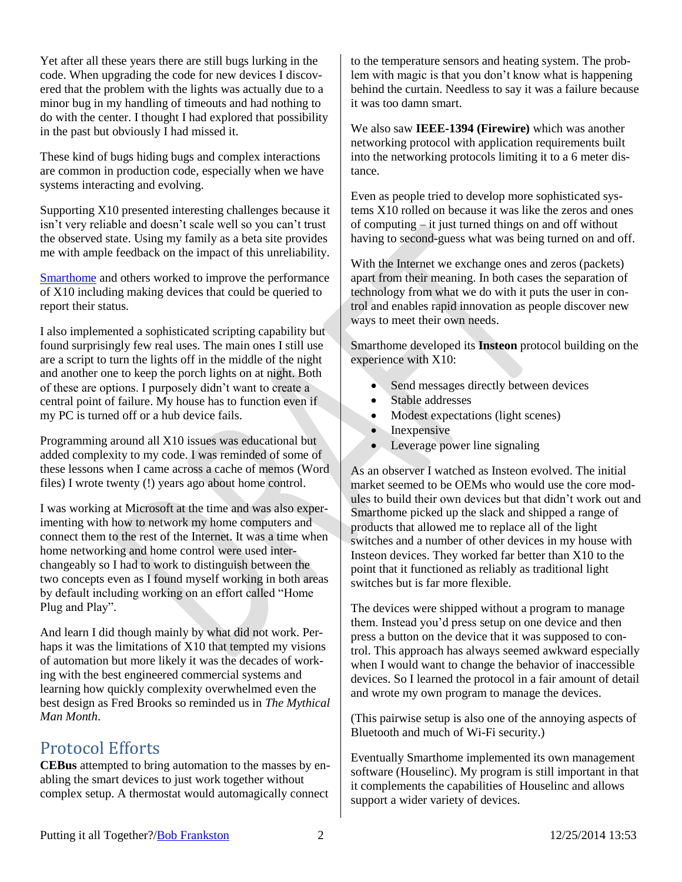Yet after all these years there are still bugs lurking in the code. When upgrading the code for new devices I discovered that the problem with the lights was actually due to a minor bug in my handling of timeouts and had nothing to do with the center. I thought I had explored that possibility in the past but obviously I had missed it.

These kind of bugs hiding bugs and complex interactions are common in production code, especially when we have systems interacting and evolving.

Supporting X10 presented interesting challenges because it isn't very reliable and doesn't scale well so you can't trust the observed state. Using my family as a beta site provides me with ample feedback on the impact of this unreliability.

[Smarthome](http://www.smarthome.com/) and others worked to improve the performance of X10 including making devices that could be queried to report their status.

I also implemented a sophisticated scripting capability but found surprisingly few real uses. The main ones I still use are a script to turn the lights off in the middle of the night and another one to keep the porch lights on at night. Both of these are options. I purposely didn't want to create a central point of failure. My house has to function even if my PC is turned off or a hub device fails.

Programming around all X10 issues was educational but added complexity to my code. I was reminded of some of these lessons when I came across a cache of memos (Word files) I wrote twenty (!) years ago about home control.

I was working at Microsoft at the time and was also experimenting with how to network my home computers and connect them to the rest of the Internet. It was a time when home networking and home control were used interchangeably so I had to work to distinguish between the two concepts even as I found myself working in both areas by default including working on an effort called "Home Plug and Play".

And learn I did though mainly by what did not work. Perhaps it was the limitations of X10 that tempted my visions of automation but more likely it was the decades of working with the best engineered commercial systems and learning how quickly complexity overwhelmed even the best design as Fred Brooks so reminded us in *The Mythical Man Month*.

#### Protocol Efforts

**CEBus** attempted to bring automation to the masses by enabling the smart devices to just work together without complex setup. A thermostat would automagically connect

to the temperature sensors and heating system. The problem with magic is that you don't know what is happening behind the curtain. Needless to say it was a failure because it was too damn smart.

We also saw **IEEE-1394 (Firewire)** which was another networking protocol with application requirements built into the networking protocols limiting it to a 6 meter distance.

Even as people tried to develop more sophisticated systems X10 rolled on because it was like the zeros and ones of computing  $-\text{it}$  just turned things on and off without having to second-guess what was being turned on and off.

With the Internet we exchange ones and zeros (packets) apart from their meaning. In both cases the separation of technology from what we do with it puts the user in control and enables rapid innovation as people discover new ways to meet their own needs.

Smarthome developed its **Insteon** protocol building on the experience with X10:

- Send messages directly between devices
- Stable addresses
- Modest expectations (light scenes)
- Inexpensive
- Leverage power line signaling

As an observer I watched as Insteon evolved. The initial market seemed to be OEMs who would use the core modules to build their own devices but that didn't work out and Smarthome picked up the slack and shipped a range of products that allowed me to replace all of the light switches and a number of other devices in my house with Insteon devices. They worked far better than X10 to the point that it functioned as reliably as traditional light switches but is far more flexible.

The devices were shipped without a program to manage them. Instead you'd press setup on one device and then press a button on the device that it was supposed to control. This approach has always seemed awkward especially when I would want to change the behavior of inaccessible devices. So I learned the protocol in a fair amount of detail and wrote my own program to manage the devices.

(This pairwise setup is also one of the annoying aspects of Bluetooth and much of Wi-Fi security.)

Eventually Smarthome implemented its own management software (Houselinc). My program is still important in that it complements the capabilities of Houselinc and allows support a wider variety of devices.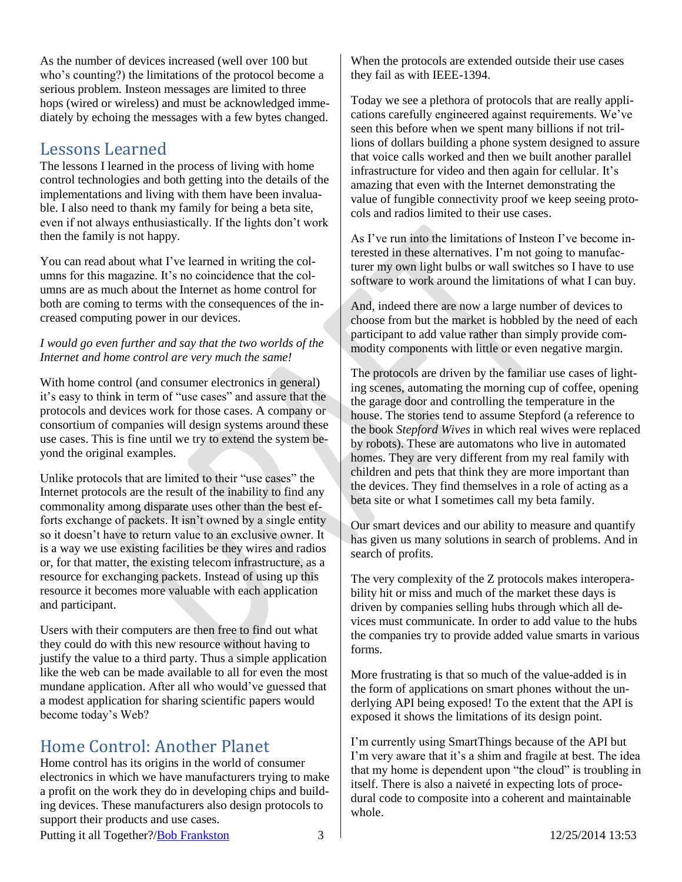As the number of devices increased (well over 100 but who's counting?) the limitations of the protocol become a serious problem. Insteon messages are limited to three hops (wired or wireless) and must be acknowledged immediately by echoing the messages with a few bytes changed.

#### Lessons Learned

The lessons I learned in the process of living with home control technologies and both getting into the details of the implementations and living with them have been invaluable. I also need to thank my family for being a beta site, even if not always enthusiastically. If the lights don't work then the family is not happy.

You can read about what I've learned in writing the columns for this magazine. It's no coincidence that the columns are as much about the Internet as home control for both are coming to terms with the consequences of the increased computing power in our devices.

*I would go even further and say that the two worlds of the Internet and home control are very much the same!*

With home control (and consumer electronics in general) it's easy to think in term of "use cases" and assure that the protocols and devices work for those cases. A company or consortium of companies will design systems around these use cases. This is fine until we try to extend the system beyond the original examples.

Unlike protocols that are limited to their "use cases" the Internet protocols are the result of the inability to find any commonality among disparate uses other than the best efforts exchange of packets. It isn't owned by a single entity so it doesn't have to return value to an exclusive owner. It is a way we use existing facilities be they wires and radios or, for that matter, the existing telecom infrastructure, as a resource for exchanging packets. Instead of using up this resource it becomes more valuable with each application and participant.

Users with their computers are then free to find out what they could do with this new resource without having to justify the value to a third party. Thus a simple application like the web can be made available to all for even the most mundane application. After all who would've guessed that a modest application for sharing scientific papers would become today's Web?

## Home Control: Another Planet

Home control has its origins in the world of consumer electronics in which we have manufacturers trying to make a profit on the work they do in developing chips and building devices. These manufacturers also design protocols to support their products and use cases.

When the protocols are extended outside their use cases they fail as with IEEE-1394.

Today we see a plethora of protocols that are really applications carefully engineered against requirements. We've seen this before when we spent many billions if not trillions of dollars building a phone system designed to assure that voice calls worked and then we built another parallel infrastructure for video and then again for cellular. It's amazing that even with the Internet demonstrating the value of fungible connectivity proof we keep seeing protocols and radios limited to their use cases.

As I've run into the limitations of Insteon I've become interested in these alternatives. I'm not going to manufacturer my own light bulbs or wall switches so I have to use software to work around the limitations of what I can buy.

And, indeed there are now a large number of devices to choose from but the market is hobbled by the need of each participant to add value rather than simply provide commodity components with little or even negative margin.

The protocols are driven by the familiar use cases of lighting scenes, automating the morning cup of coffee, opening the garage door and controlling the temperature in the house. The stories tend to assume Stepford (a reference to the book *Stepford Wives* in which real wives were replaced by robots). These are automatons who live in automated homes. They are very different from my real family with children and pets that think they are more important than the devices. They find themselves in a role of acting as a beta site or what I sometimes call my beta family.

Our smart devices and our ability to measure and quantify has given us many solutions in search of problems. And in search of profits.

The very complexity of the Z protocols makes interoperability hit or miss and much of the market these days is driven by companies selling hubs through which all devices must communicate. In order to add value to the hubs the companies try to provide added value smarts in various forms.

More frustrating is that so much of the value-added is in the form of applications on smart phones without the underlying API being exposed! To the extent that the API is exposed it shows the limitations of its design point.

I'm currently using SmartThings because of the API but I'm very aware that it's a shim and fragile at best. The idea that my home is dependent upon "the cloud" is troubling in itself. There is also a naiveté in expecting lots of procedural code to composite into a coherent and maintainable whole.

Putting it all Together?[/Bob Frankston](http://frankston.com/public) 3 12/25/2014 13:53